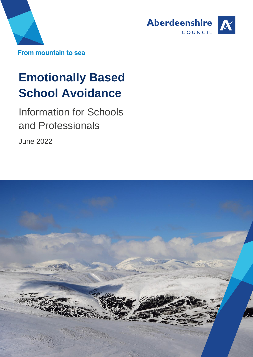



# **Emotionally Based School Avoidance**

Information for Schools and Professionals

June 2022

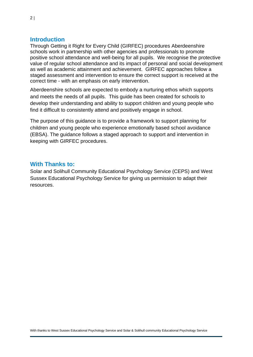#### **Introduction**

Through Getting it Right for Every Child (GIRFEC) procedures Aberdeenshire schools work in partnership with other agencies and professionals to promote positive school attendance and well-being for all pupils. We recognise the protective value of regular school attendance and its impact of personal and social development as well as academic attainment and achievement. GIRFEC approaches follow a staged assessment and intervention to ensure the correct support is received at the correct time - with an emphasis on early intervention.

Aberdeenshire schools are expected to embody a nurturing ethos which supports and meets the needs of all pupils. This guide has been created for schools to develop their understanding and ability to support children and young people who find it difficult to consistently attend and positively engage in school.

The purpose of this guidance is to provide a framework to support planning for children and young people who experience emotionally based school avoidance (EBSA). The guidance follows a staged approach to support and intervention in keeping with GIRFEC procedures.

#### **With Thanks to:**

Solar and Solihull Community Educational Psychology Service (CEPS) and West Sussex Educational Psychology Service for giving us permission to adapt their resources.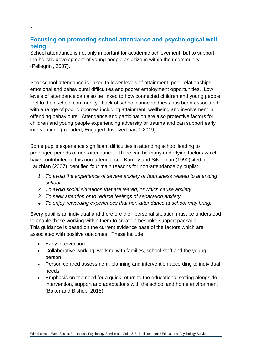## **Focusing on promoting school attendance and psychological wellbeing**

School attendance is not only important for academic achievement, but to support the holistic development of young people as citizens within their community (Pellegrini, 2007).

Poor school attendance is linked to lower levels of attainment; peer relationships; emotional and behavioural difficulties and poorer employment opportunities. Low levels of attendance can also be linked to how connected children and young people feel to their school community. Lack of school connectedness has been associated with a range of poor outcomes including attainment, wellbeing and involvement in offending behaviours. Attendance and participation are also protective factors for children and young people experiencing adversity or trauma and can support early intervention. (Included, Engaged, Involved part 1 2019).

Some pupils experience significant difficulties in attending school leading to prolonged periods of non-attendance. There can be many underlying factors which have contributed to this non-attendance. Karney and Silverman (1990)cited in Lauchlan (2007) identified four main reasons for non-attendance by pupils:

- *1. To avoid the experience of severe anxiety or fearfulness related to attending school*
- *2. To avoid social situations that are feared, or which cause anxiety*
- *3. To seek attention or to reduce feelings of separation anxiety*
- *4. To enjoy rewarding experiences that non-attendance at school may bring.*

Every pupil is an individual and therefore their personal situation must be understood to enable those working within them to create a bespoke support package. This guidance is based on the current evidence base of the factors which are associated with positive outcomes. These include:

- Early intervention
- Collaborative working: working with families, school staff and the young person
- Person centred assessment, planning and intervention according to individual needs
- Emphasis on the need for a quick return to the educational setting alongside intervention, support and adaptations with the school and home environment (Baker and Bishop, 2015).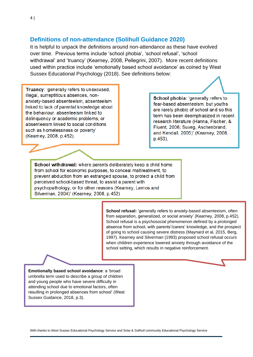#### **Definitions of non-attendance (Solihull Guidance 2020)**

It is helpful to unpack the definitions around non-attendance as these have evolved over time. Previous terms include 'school phobia', 'school refusal', 'school withdrawal' and 'truancy' (Kearney, 2008, Pellegrini, 2007). More recent definitions used within practice include 'emotionally based school avoidance' as coined by West Sussex Educational Psychology (2018). See definitions below:

Truancy: 'generally refers to unexcused, illegal, surreptitious absences, nonanxiety-based absenteeism, absenteeism linked to lack of parental knowledge about the behaviour, absenteeism linked to delinquency or academic problems, or absenteeism linked to social conditions such as homelessness or poverty' (Kearney, 2008, p.452).

School phobia: 'generally refers to fear-based absenteeism, but youths are rarely phobic of school and so this term has been deemphasized in recent research literature (Hanna, Fischer, & Fluent, 2006; Suveg, Aschenbrand, and Kendall, 2005)' (Kearney, 2008, p.453).

School withdrawal: where parents deliberately keep a child home from school for economic purposes, to conceal maltreatment, to prevent abduction from an estranged spouse, to protect a child from perceived school-based threat, to assist a parent with psychopathology, or for other reasons (Kearney, Lemos and Silverman, 2004)' (Kearney, 2008, p.452)

> **School refusal:** 'generally refers to anxiety-based absenteeism, often from separation, generalized, or social anxiety' (Kearney, 2008, p.452). School refusal is a psychosocial phenomenon defined by a prolonged absence from school, with parents'/carers' knowledge, and the prospect of going to school causing severe distress (Maynard et al, 2015, Berg, 1997). Kearney and Silverman (1993) proposed school refusal occurs when children experience lowered anxiety through avoidance of the school setting, which results in negative reinforcement.

**Emotionally based school avoidance**: a 'broad umbrella term used to describe a group of children and young people who have severe difficulty in attending school due to emotional factors, often resulting in prolonged absences from school' (West Sussex Guidance, 2018, p.3).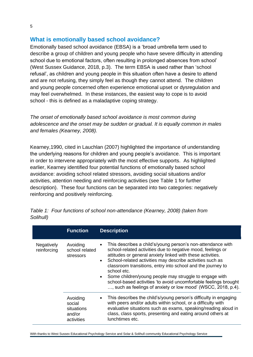## **What is emotionally based school avoidance?**

Emotionally based school avoidance (EBSA) is a 'broad umbrella term used to describe a group of children and young people who have severe difficulty in attending school due to emotional factors, often resulting in prolonged absences from school' (West Sussex Guidance, 2018, p.3). The term EBSA is used rather than 'school refusal', as children and young people in this situation often have a desire to attend and are not refusing, they simply feel as though they cannot attend. The children and young people concerned often experience emotional upset or dysregulation and may feel overwhelmed. In these instances, the easiest way to cope is to avoid school - this is defined as a maladaptive coping strategy.

*The onset of emotionally based school avoidance is most common during adolescence and the onset may be sudden or gradual. It is equally common in males and females (Kearney, 2008).* 

Kearney,1990, cited in Lauchlan (2007) highlighted the importance of understanding the underlying reasons for children and young people's avoidance. This is important in order to intervene appropriately with the most effective supports. As highlighted earlier, Kearney identified four potential functions of emotionally based school avoidance: avoiding school related stressors, avoiding social situations and/or activities, attention needing and reinforcing activities (see Table 1 for further description). These four functions can be separated into two categories: negatively reinforcing and positively reinforcing.

|                           | <b>Function</b>                                          | <b>Description</b>                                                                                                                                                                                                                                                                                                                                                                                                                                                                                                                                                        |
|---------------------------|----------------------------------------------------------|---------------------------------------------------------------------------------------------------------------------------------------------------------------------------------------------------------------------------------------------------------------------------------------------------------------------------------------------------------------------------------------------------------------------------------------------------------------------------------------------------------------------------------------------------------------------------|
| Negatively<br>reinforcing | Avoiding<br>school related<br>stressors                  | This describes a child's/young person's non-attendance with<br>$\bullet$<br>school-related activities due to negative mood, feelings or<br>attitudes or general anxiety linked with these activities.<br>School-related activities may describe activities such as<br>$\bullet$<br>classroom transitions, entry into school and the journey to<br>school etc.<br>Some children/young people may struggle to engage with<br>$\bullet$<br>school-based activities 'to avoid uncomfortable feelings brought<br>, such as feelings of anxiety or low mood' (WSCC, 2018, p.4). |
|                           | Avoiding<br>social<br>situations<br>and/or<br>activities | This describes the child's/young person's difficulty in engaging<br>$\bullet$<br>with peers and/or adults within school, or a difficulty with<br>evaluative situations such as exams, speaking/reading aloud in<br>class, class sports, presenting and eating around others at<br>lunchtimes etc.                                                                                                                                                                                                                                                                         |

*Table 1: Four functions of school non-attendance (Kearney, 2008) (taken from Solihull)*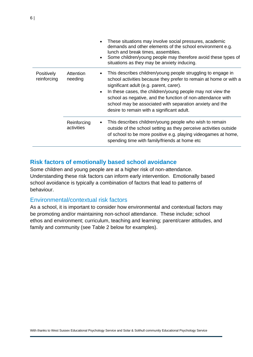|                           |                           | These situations may involve social pressures, academic<br>demands and other elements of the school environment e.g.<br>lunch and break times, assemblies.<br>Some children/young people may therefore avoid these types of<br>$\bullet$<br>situations as they may be anxiety inducing.                                                                                                                                          |
|---------------------------|---------------------------|----------------------------------------------------------------------------------------------------------------------------------------------------------------------------------------------------------------------------------------------------------------------------------------------------------------------------------------------------------------------------------------------------------------------------------|
| Positively<br>reinforcing | Attention<br>needing      | This describes children/young people struggling to engage in<br>school activities because they prefer to remain at home or with a<br>significant adult (e.g. parent, carer).<br>In these cases, the children/young people may not view the<br>$\bullet$<br>school as negative, and the function of non-attendance with<br>school may be associated with separation anxiety and the<br>desire to remain with a significant adult. |
|                           | Reinforcing<br>activities | This describes children/young people who wish to remain<br>outside of the school setting as they perceive activities outside<br>of school to be more positive e.g. playing videogames at home,<br>spending time with family/friends at home etc                                                                                                                                                                                  |

# **Risk factors of emotionally based school avoidance**

Some children and young people are at a higher risk of non-attendance. Understanding these risk factors can inform early intervention. Emotionally based school avoidance is typically a combination of factors that lead to patterns of behaviour.

## Environmental/contextual risk factors

As a school, it is important to consider how environmental and contextual factors may be promoting and/or maintaining non-school attendance. These include; school ethos and environment; curriculum, teaching and learning; parent/carer attitudes, and family and community (see Table 2 below for examples).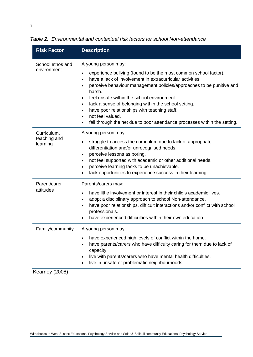| <b>Risk Factor</b>                      | <b>Description</b>                                                                                                                                                                                                                                                                                                                                                                                                                                                                                                                                                                       |
|-----------------------------------------|------------------------------------------------------------------------------------------------------------------------------------------------------------------------------------------------------------------------------------------------------------------------------------------------------------------------------------------------------------------------------------------------------------------------------------------------------------------------------------------------------------------------------------------------------------------------------------------|
| School ethos and<br>environment         | A young person may:<br>experience bullying (found to be the most common school factor).<br>$\bullet$<br>have a lack of involvement in extracurricular activities.<br>$\bullet$<br>perceive behaviour management policies/approaches to be punitive and<br>$\bullet$<br>harsh.<br>feel unsafe within the school environment.<br>$\bullet$<br>lack a sense of belonging within the school setting.<br>$\bullet$<br>have poor relationships with teaching staff.<br>$\bullet$<br>not feel valued.<br>$\bullet$<br>fall through the net due to poor attendance processes within the setting. |
| Curriculum,<br>teaching and<br>learning | A young person may:<br>struggle to access the curriculum due to lack of appropriate<br>$\bullet$<br>differentiation and/or unrecognised needs.<br>perceive lessons as boring.<br>$\bullet$<br>not feel supported with academic or other additional needs.<br>$\bullet$<br>perceive learning tasks to be unachievable.<br>$\bullet$<br>lack opportunities to experience success in their learning.                                                                                                                                                                                        |
| Parent/carer<br>attitudes               | Parents/carers may:<br>have little involvement or interest in their child's academic lives.<br>$\bullet$<br>adopt a disciplinary approach to school Non-attendance.<br>$\bullet$<br>have poor relationships, difficult interactions and/or conflict with school<br>$\bullet$<br>professionals.<br>have experienced difficulties within their own education.                                                                                                                                                                                                                              |
| Family/community<br>(0.000)             | A young person may:<br>have experienced high levels of conflict within the home.<br>have parents/carers who have difficulty caring for them due to lack of<br>capacity.<br>live with parents/carers who have mental health difficulties.<br>live in unsafe or problematic neighbourhoods.                                                                                                                                                                                                                                                                                                |

*Table 2: Environmental and contextual risk factors for school Non-attendance*

Kearney (2008)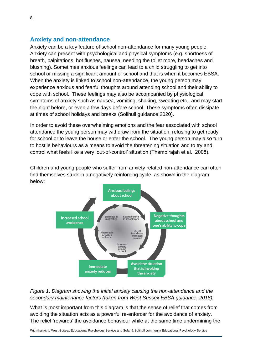#### **Anxiety and non-attendance**

Anxiety can be a key feature of school non-attendance for many young people. Anxiety can present with psychological and physical symptoms (e.g. shortness of breath, palpitations, hot flushes, nausea, needing the toilet more, headaches and blushing). Sometimes anxious feelings can lead to a child struggling to get into school or missing a significant amount of school and that is when it becomes EBSA. When the anxiety is linked to school non-attendance, the young person may experience anxious and fearful thoughts around attending school and their ability to cope with school. These feelings may also be accompanied by physiological symptoms of anxiety such as nausea, vomiting, shaking, sweating etc., and may start the night before, or even a few days before school. These symptoms often dissipate at times of school holidays and breaks (Solihull guidance,2020).

In order to avoid these overwhelming emotions and the fear associated with school attendance the young person may withdraw from the situation, refusing to get ready for school or to leave the house or enter the school. The young person may also turn to hostile behaviours as a means to avoid the threatening situation and to try and control what feels like a very 'out-of-control' situation (Thambirajah et al., 2008).

Children and young people who suffer from anxiety related non-attendance can often find themselves stuck in a negatively reinforcing cycle, as shown in the diagram below:



*Figure 1. Diagram showing the initial anxiety causing the non-attendance and the secondary maintenance factors (taken from West Sussex EBSA guidance, 2018).* 

What is most important from this diagram is that the sense of relief that comes from avoiding the situation acts as a powerful re-enforcer for the avoidance of anxiety. The relief 'rewards' the avoidance behaviour while at the same time undermining the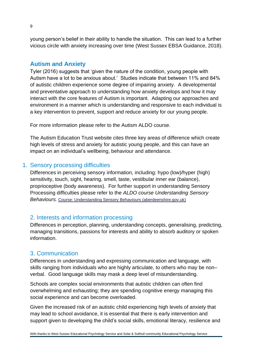young person's belief in their ability to handle the situation. This can lead to a further vicious circle with anxiety increasing over time (West Sussex EBSA Guidance, 2018).

## **Autism and Anxiety**

Tyler (2016) suggests that 'given the nature of the condition, young people with Autism have a lot to be anxious about.' Studies indicate that between 11% and 84% of autistic children experience some degree of impairing anxiety. A developmental and preventative approach to understanding how anxiety develops and how it may interact with the core features of Autism is important. Adapting our approaches and environment in a manner which is understanding and responsive to each individual is a key intervention to prevent, support and reduce anxiety for our young people.

For more information please refer to the Autism ALDO course.

The Autism Education Trust website cites three key areas of difference which create high levels of stress and anxiety for autistic young people, and this can have an impact on an individual's wellbeing, behaviour and attendance.

# 1. Sensory processing difficulties

Differences in perceiving sensory information, including: hypo (low)/hyper (high) sensitivity, touch, sight, hearing, smell, taste, vestibular inner ear (balance), proprioceptive (body awareness). For further support in understanding Sensory Processing difficulties please refer to the *ALDO course Understanding Sensory Behaviours.* [Course: Understanding Sensory Behaviours \(aberdeenshire.gov.uk\)](https://aldo.aberdeenshire.gov.uk/course/view.php?id=822)

## 2. Interests and information processing

Differences in perception, planning, understanding concepts, generalising, predicting, managing transitions, passions for interests and ability to absorb auditory or spoken information.

## 3. Communication

Differences in understanding and expressing communication and language, with skills ranging from individuals who are highly articulate, to others who may be non– verbal. Good language skills may mask a deep level of misunderstanding.

Schools are complex social environments that autistic children can often find overwhelming and exhausting; they are spending cognitive energy managing this social experience and can become overloaded.

Given the increased risk of an autistic child experiencing high levels of anxiety that may lead to school avoidance, it is essential that there is early intervention and support given to developing the child's social skills, emotional literacy, resilience and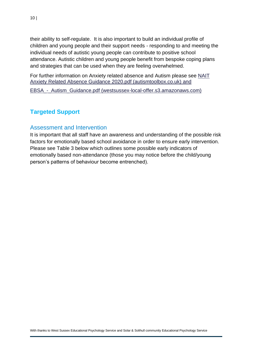their ability to self-regulate. It is also important to build an individual profile of children and young people and their support needs - responding to and meeting the individual needs of autistic young people can contribute to positive school attendance. Autistic children and young people benefit from bespoke coping plans and strategies that can be used when they are feeling overwhelmed.

For further information on Anxiety related absence and Autism please see [NAIT](http://www.autismtoolbox.co.uk/sites/default/files/resources/NAIT%20Anxiety%20Related%20Absence%20Guidance%202020.pdf)  [Anxiety Related Absence Guidance 2020.pdf \(autismtoolbox.co.uk\)](http://www.autismtoolbox.co.uk/sites/default/files/resources/NAIT%20Anxiety%20Related%20Absence%20Guidance%202020.pdf) and

EBSA - Autism Guidance.pdf (westsussex-local-offer.s3.amazonaws.com)

# **Targeted Support**

## Assessment and Intervention

It is important that all staff have an awareness and understanding of the possible risk factors for emotionally based school avoidance in order to ensure early intervention. Please see Table 3 below which outlines some possible early indicators of emotionally based non-attendance (those you may notice before the child/young person's patterns of behaviour become entrenched).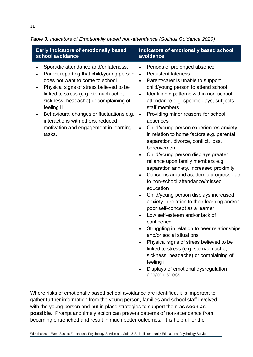| <b>Early indicators of emotionally based</b>                                                                                                                                                                                                                                                                                                                                                                                                           | Indicators of emotionally based school                                                                                                                                                                                                                                                                                                                                                                                                                                                                                                                                                                                                                                                                                                                                                                                                                                                                                                                                                                                                                                                                                                                                                                                              |
|--------------------------------------------------------------------------------------------------------------------------------------------------------------------------------------------------------------------------------------------------------------------------------------------------------------------------------------------------------------------------------------------------------------------------------------------------------|-------------------------------------------------------------------------------------------------------------------------------------------------------------------------------------------------------------------------------------------------------------------------------------------------------------------------------------------------------------------------------------------------------------------------------------------------------------------------------------------------------------------------------------------------------------------------------------------------------------------------------------------------------------------------------------------------------------------------------------------------------------------------------------------------------------------------------------------------------------------------------------------------------------------------------------------------------------------------------------------------------------------------------------------------------------------------------------------------------------------------------------------------------------------------------------------------------------------------------------|
| school avoidance                                                                                                                                                                                                                                                                                                                                                                                                                                       | avoidance                                                                                                                                                                                                                                                                                                                                                                                                                                                                                                                                                                                                                                                                                                                                                                                                                                                                                                                                                                                                                                                                                                                                                                                                                           |
| Sporadic attendance and/or lateness.<br>$\bullet$<br>Parent reporting that child/young person<br>$\bullet$<br>does not want to come to school<br>Physical signs of stress believed to be<br>$\bullet$<br>linked to stress (e.g. stomach ache,<br>sickness, headache) or complaining of<br>feeling ill<br>Behavioural changes or fluctuations e.g.<br>$\bullet$<br>interactions with others, reduced<br>motivation and engagement in learning<br>tasks. | Periods of prolonged absence<br>$\bullet$<br><b>Persistent lateness</b><br>$\bullet$<br>Parent/carer is unable to support<br>$\bullet$<br>child/young person to attend school<br>Identifiable patterns within non-school<br>$\bullet$<br>attendance e.g. specific days, subjects,<br>staff members<br>Providing minor reasons for school<br>$\bullet$<br>absences<br>Child/young person experiences anxiety<br>$\bullet$<br>in relation to home factors e.g. parental<br>separation, divorce, conflict, loss,<br>bereavement<br>Child/young person displays greater<br>reliance upon family members e.g.<br>separation anxiety, increased proximity<br>Concerns around academic progress due<br>$\bullet$<br>to non-school attendance/missed<br>education<br>Child/young person displays increased<br>$\bullet$<br>anxiety in relation to their learning and/or<br>poor self-concept as a learner<br>Low self-esteem and/or lack of<br>confidence<br>Struggling in relation to peer relationships<br>and/or social situations<br>Physical signs of stress believed to be<br>linked to stress (e.g. stomach ache,<br>sickness, headache) or complaining of<br>feeling ill<br>Displays of emotional dysregulation<br>and/or distress. |

*Table 3: Indicators of Emotionally based non-attendance (Solihull Guidance 2020)*

Where risks of emotionally based school avoidance are identified, it is important to gather further information from the young person, families and school staff involved with the young person and put in place strategies to support them **as soon as possible.** Prompt and timely action can prevent patterns of non-attendance from becoming entrenched and result in much better outcomes. It is helpful for the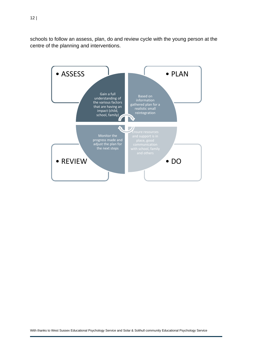schools to follow an assess, plan, do and review cycle with the young person at the centre of the planning and interventions.

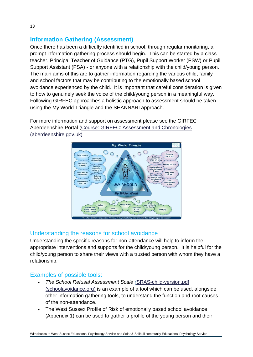## **Information Gathering (Assessment)**

Once there has been a difficulty identified in school, through regular monitoring, a prompt information gathering process should begin. This can be started by a class teacher, Principal Teacher of Guidance (PTG), Pupil Support Worker (PSW) or Pupil Support Assistant (PSA) - or anyone with a relationship with the child/young person. The main aims of this are to gather information regarding the various child, family and school factors that may be contributing to the emotionally based school avoidance experienced by the child. It is important that careful consideration is given to how to genuinely seek the voice of the child/young person in a meaningful way. Following GIRFEC approaches a holistic approach to assessment should be taken using the My World Triangle and the SHANNARI approach.

For more information and support on assessment please see the GIRFEC Aberdeenshire Portal [\(Course: GIRFEC: Assessment and Chronologies](https://aldo.aberdeenshire.gov.uk/course/view.php?id=1497)  [\(aberdeenshire.gov.uk\)](https://aldo.aberdeenshire.gov.uk/course/view.php?id=1497)



# Understanding the reasons for school avoidance

Understanding the specific reasons for non-attendance will help to inform the appropriate interventions and supports for the child/young person. It is helpful for the child/young person to share their views with a trusted person with whom they have a relationship.

# Examples of possible tools:

- *The School Refusal Assessment Scale (*[SRAS-child-version.pdf](https://schoolavoidance.org/wp-content/uploads/2021/11/sras-child-version.pdf)  [\(schoolavoidance.org\)](https://schoolavoidance.org/wp-content/uploads/2021/11/sras-child-version.pdf) is an example of a tool which can be used, alongside other information gathering tools, to understand the function and root causes of the non-attendance.
- The West Sussex Profile of Risk of emotionally based school avoidance (Appendix 1) can be used to gather a profile of the young person and their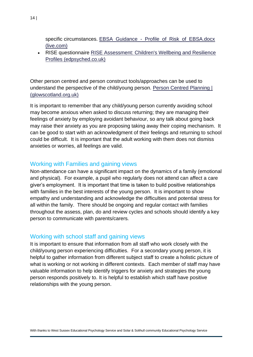specific circumstances. EBSA\_Guidance\_-\_Profile\_of\_Risk\_of\_EBSA.docx [\(live.com\)](https://view.officeapps.live.com/op/view.aspx?src=https%3A%2F%2Fwestsussex-local-offer.s3.amazonaws.com%2Fpublic%2Fsystem%2Fattachments%2F1121%2Foriginal%2FEBSA_Guidance_-_Profile_of_Risk_of_EBSA.docx&wdOrigin=BROWSELINK)

• RISE questionnaire [RISE Assessment: Children's Wellbeing and Resilience](https://www.edpsyched.co.uk/rise-wsa)  [Profiles \(edpsyched.co.uk\)](https://www.edpsyched.co.uk/rise-wsa)

Other person centred and person construct tools/approaches can be used to understand the perspective of the child/young person. [Person Centred Planning |](https://blogs.glowscotland.org.uk/as/aberdeenshireeps/person-centred-planning/)  [\(glowscotland.org.uk\)](https://blogs.glowscotland.org.uk/as/aberdeenshireeps/person-centred-planning/)

It is important to remember that any child/young person currently avoiding school may become anxious when asked to discuss returning; they are managing their feelings of anxiety by employing avoidant behaviour, so any talk about going back may raise their anxiety as you are proposing taking away their coping mechanism. It can be good to start with an acknowledgment of their feelings and returning to school could be difficult. It is important that the adult working with them does not dismiss anxieties or worries, all feelings are valid.

#### Working with Families and gaining views

Non-attendance can have a significant impact on the dynamics of a family (emotional and physical). For example, a pupil who regularly does not attend can affect a care giver's employment. It is important that time is taken to build positive relationships with families in the best interests of the young person. It is important to show empathy and understanding and acknowledge the difficulties and potential stress for all within the family. There should be ongoing and regular contact with families throughout the assess, plan, do and review cycles and schools should identify a key person to communicate with parents/carers*.*

#### Working with school staff and gaining views

It is important to ensure that information from all staff who work closely with the child/young person experiencing difficulties. For a secondary young person, it is helpful to gather information from different subject staff to create a holistic picture of what is working or not working in different contexts. Each member of staff may have valuable information to help identify triggers for anxiety and strategies the young person responds positively to. It is helpful to establish which staff have positive relationships with the young person.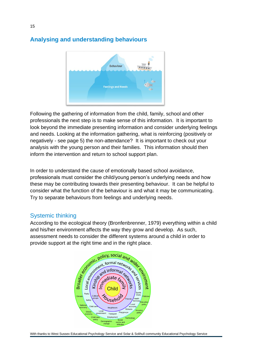

## **Analysing and understanding behaviours**

Following the gathering of information from the child, family, school and other professionals the next step is to make sense of this information. It is important to look beyond the immediate presenting information and consider underlying feelings and needs. Looking at the information gathering, what is reinforcing (positively or negatively - see page 5) the non-attendance? It is important to check out your analysis with the young person and their families. This information should then inform the intervention and return to school support plan.

In order to understand the cause of emotionally based school avoidance, professionals must consider the child/young person's underlying needs and how these may be contributing towards their presenting behaviour. It can be helpful to consider what the function of the behaviour is and what it may be communicating. Try to separate behaviours from feelings and underlying needs.

## Systemic thinking

According to the ecological theory (Bronfenbrenner, 1979) everything within a child and his/her environment affects the way they grow and develop. As such, provide support at the right time and in the right place.

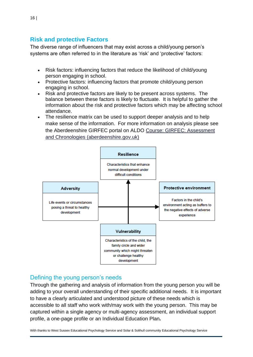## **Risk and protective Factors**

The diverse range of influencers that may exist across a child/young person's systems are often referred to in the literature as 'risk' and 'protective' factors:

- Risk factors: influencing factors that reduce the likelihood of child/young person engaging in school.
- Protective factors: influencing factors that promote child/young person engaging in school.
- Risk and protective factors are likely to be present across systems. The balance between these factors is likely to fluctuate. It is helpful to gather the information about the risk and protective factors which may be affecting school attendance.
- The resilience matrix can be used to support deeper analysis and to help make sense of the information. For more information on analysis please see the Aberdeenshire GIRFEC portal on ALDO [Course: GIRFEC: Assessment](https://aldo.aberdeenshire.gov.uk/course/view.php?id=1497)  [and Chronologies \(aberdeenshire.gov.uk\)](https://aldo.aberdeenshire.gov.uk/course/view.php?id=1497)



## Defining the young person's needs

Through the gathering and analysis of information from the young person you will be adding to your overall understanding of their specific additional needs. It is important to have a clearly articulated and understood picture of these needs which is accessible to all staff who work with/may work with the young person. This may be captured within a single agency or multi-agency assessment, an individual support profile, a one-page profile or an Individual Education Plan*.*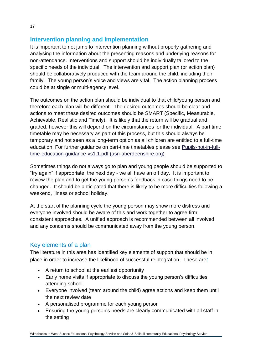## **Intervention planning and implementation**

It is important to not jump to intervention planning without properly gathering and analysing the information about the presenting reasons and underlying reasons for non-attendance. Interventions and support should be individually tailored to the specific needs of the individual. The intervention and support plan (or action plan) should be collaboratively produced with the team around the child, including their family. The young person's voice and views are vital. The action planning process could be at single or multi-agency level.

The outcomes on the action plan should be individual to that child/young person and therefore each plan will be different. The desired outcomes should be clear and actions to meet these desired outcomes should be SMART (Specific, Measurable, Achievable, Realistic and Timely). It is likely that the return will be gradual and graded, however this will depend on the circumstances for the individual. A part time timetable may be necessary as part of this process, but this should always be temporary and not seen as a long-term option as all children are entitled to a full-time education. For further guidance on part-time timetables please see [Pupils-not-in-full](https://asn-aberdeenshire.org/wp-content/uploads/2021/12/Pupils-not-in-full-time-education-guidance-vs1.1.pdf)[time-education-guidance-vs1.1.pdf \(asn-aberdeenshire.org\)](https://asn-aberdeenshire.org/wp-content/uploads/2021/12/Pupils-not-in-full-time-education-guidance-vs1.1.pdf)

Sometimes things do not always go to plan and young people should be supported to "try again" if appropriate, the next day - we all have an off day. It is important to review the plan and to get the young person's feedback in case things need to be changed. It should be anticipated that there is likely to be more difficulties following a weekend, illness or school holiday.

At the start of the planning cycle the young person may show more distress and everyone involved should be aware of this and work together to agree firm, consistent approaches. A unified approach is recommended between all involved and any concerns should be communicated away from the young person.

# Key elements of a plan

The literature in this area has identified key elements of support that should be in place in order to increase the likelihood of successful reintegration. These are:

- A return to school at the earliest opportunity
- Early home visits if appropriate to discuss the young person's difficulties attending school
- Everyone involved (team around the child) agree actions and keep them until the next review date
- A personalised programme for each young person
- Ensuring the young person's needs are clearly communicated with all staff in the setting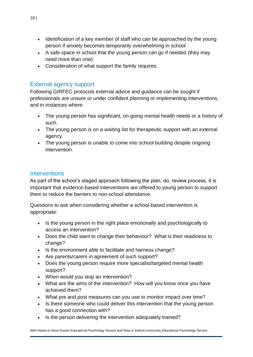- Identification of a key member of staff who can be approached by the young person if anxiety becomes temporarily overwhelming in school
- A safe space in school that the young person can go if needed (they may need more than one)
- Consideration of what support the family requires*.*

## External agency support

Following GIRFEC protocols external advice and guidance can be sought if professionals are unsure or under confident planning or implementing interventions, and in instances where:

- The young person has significant, on-going mental health needs or a history of such.
- The young person is on a waiting list for therapeutic support with an external agency.
- The young person is unable to come into school building despite ongoing intervention.

## **Interventions**

As part of the school's staged approach following the plan, do, review process, it is important that evidence-based interventions are offered to young person to support them to reduce the barriers to non-school attendance.

Questions to ask when considering whether a school-based intervention is appropriate:

- Is the young person in the right place emotionally and psychologically to access an intervention?
- Does the child want to change their behaviour? What is their readiness to change?
- Is the environment able to facilitate and harness change?
- Are parents/carers in agreement of such support?
- Does the young person require more specialist/targeted mental health support?
- When would you stop an intervention?
- What are the aims of the intervention? How will you know once you have achieved them?
- What pre and post measures can you use to monitor impact over time?
- Is there someone who could deliver this intervention that the young person has a good connection with?
- Is the person delivering the intervention adequately trained?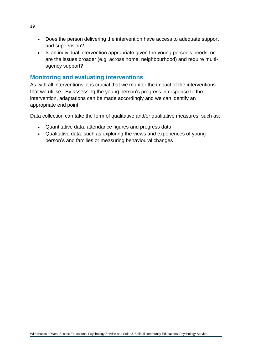- Does the person delivering the intervention have access to adequate support and supervision?
- Is an individual intervention appropriate given the young person's needs, or are the issues broader (e.g. across home, neighbourhood) and require multiagency support?

## **Monitoring and evaluating interventions**

As with all interventions, it is crucial that we monitor the impact of the interventions that we utilise. By assessing the young person's progress in response to the intervention, adaptations can be made accordingly and we can identify an appropriate end point.

Data collection can take the form of qualitative and/or qualitative measures, such as:

- Quantitative data: attendance figures and progress data
- Qualitative data: such as exploring the views and experiences of young person's and families or measuring behavioural changes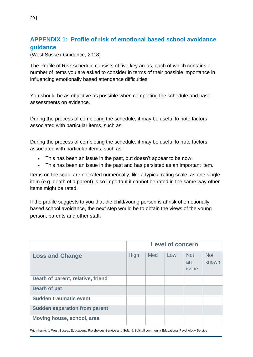# **APPENDIX 1: Profile of risk of emotional based school avoidance guidance**

(West Sussex Guidance, 2018)

The Profile of Risk schedule consists of five key areas, each of which contains a number of items you are asked to consider in terms of their possible importance in influencing emotionally based attendance difficulties.

You should be as objective as possible when completing the schedule and base assessments on evidence.

During the process of completing the schedule, it may be useful to note factors associated with particular items, such as:

During the process of completing the schedule, it may be useful to note factors associated with particular items, such as:

- This has been an issue in the past, but doesn't appear to be now.
- This has been an issue in the past and has persisted as an important item.

Items on the scale are not rated numerically, like a typical rating scale, as one single item (e.g. death of a parent) is so important it cannot be rated in the same way other items might be rated.

If the profile suggests to you that the child/young person is at risk of emotionally based school avoidance, the next step would be to obtain the views of the young person, parents and other staff**.**

|                                      | <b>Level of concern</b> |     |     |                           |                     |
|--------------------------------------|-------------------------|-----|-----|---------------------------|---------------------|
| <b>Loss and Change</b>               | High                    | Med | Low | <b>Not</b><br>an<br>issue | <b>Not</b><br>known |
| Death of parent, relative, friend    |                         |     |     |                           |                     |
| Death of pet                         |                         |     |     |                           |                     |
| <b>Sudden traumatic event</b>        |                         |     |     |                           |                     |
| <b>Sudden separation from parent</b> |                         |     |     |                           |                     |
| Moving house, school, area           |                         |     |     |                           |                     |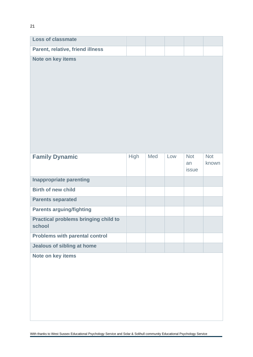| <b>Loss of classmate</b>                              |             |     |     |                                  |                     |
|-------------------------------------------------------|-------------|-----|-----|----------------------------------|---------------------|
| Parent, relative, friend illness                      |             |     |     |                                  |                     |
| Note on key items                                     |             |     |     |                                  |                     |
| <b>Family Dynamic</b>                                 | <b>High</b> | Med | Low | <b>Not</b><br>an<br><b>issue</b> | <b>Not</b><br>known |
| <b>Inappropriate parenting</b>                        |             |     |     |                                  |                     |
| <b>Birth of new child</b>                             |             |     |     |                                  |                     |
| <b>Parents separated</b>                              |             |     |     |                                  |                     |
| <b>Parents arguing/fighting</b>                       |             |     |     |                                  |                     |
| <b>Practical problems bringing child to</b><br>school |             |     |     |                                  |                     |
| <b>Problems with parental control</b>                 |             |     |     |                                  |                     |
| <b>Jealous of sibling at home</b>                     |             |     |     |                                  |                     |
| Note on key items                                     |             |     |     |                                  |                     |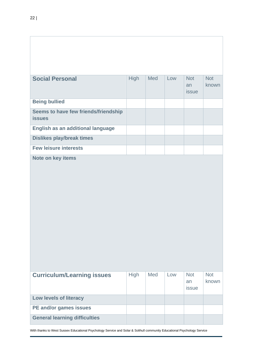| <b>Social Personal</b>                                | <b>High</b> | Med | Low | Not<br>an<br><b>issue</b> | <b>Not</b><br>known |
|-------------------------------------------------------|-------------|-----|-----|---------------------------|---------------------|
| <b>Being bullied</b>                                  |             |     |     |                           |                     |
| Seems to have few friends/friendship<br><b>issues</b> |             |     |     |                           |                     |
| English as an additional language                     |             |     |     |                           |                     |
| <b>Dislikes play/break times</b>                      |             |     |     |                           |                     |
| <b>Few leisure interests</b>                          |             |     |     |                           |                     |
|                                                       |             |     |     |                           |                     |
| <b>Curriculum/Learning issues</b>                     | <b>High</b> | Med | Low | <b>Not</b><br>an<br>issue | <b>Not</b><br>known |
| Low levels of literacy                                |             |     |     |                           |                     |
| PE and/or games issues                                |             |     |     |                           |                     |
| <b>General learning difficulties</b>                  |             |     |     |                           |                     |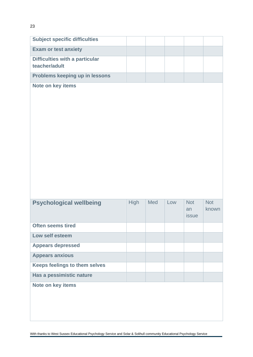| <b>Subject specific difficulties</b>                   |             |     |     |                                  |                     |
|--------------------------------------------------------|-------------|-----|-----|----------------------------------|---------------------|
| <b>Exam or test anxiety</b>                            |             |     |     |                                  |                     |
| <b>Difficulties with a particular</b><br>teacher/adult |             |     |     |                                  |                     |
| Problems keeping up in lessons                         |             |     |     |                                  |                     |
| Note on key items                                      |             |     |     |                                  |                     |
| <b>Psychological wellbeing</b>                         | <b>High</b> | Med | Low | <b>Not</b><br>an<br><b>issue</b> | <b>Not</b><br>known |
| <b>Often seems tired</b>                               |             |     |     |                                  |                     |
| Low self esteem                                        |             |     |     |                                  |                     |
| <b>Appears depressed</b>                               |             |     |     |                                  |                     |
| <b>Appears anxious</b>                                 |             |     |     |                                  |                     |
| <b>Keeps feelings to them selves</b>                   |             |     |     |                                  |                     |

**Note on key items**

**Has a pessimistic nature**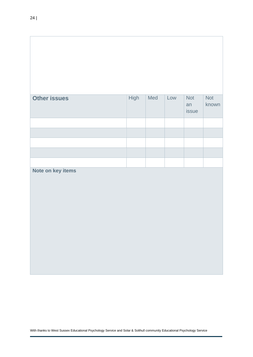| <b>Other issues</b> | <b>High</b> | Med | Low | <b>Not</b><br>an<br>issue | <b>Not</b><br>known |
|---------------------|-------------|-----|-----|---------------------------|---------------------|
|                     |             |     |     |                           |                     |
|                     |             |     |     |                           |                     |
|                     |             |     |     |                           |                     |
|                     |             |     |     |                           |                     |
| Note on key items   |             |     |     |                           |                     |
|                     |             |     |     |                           |                     |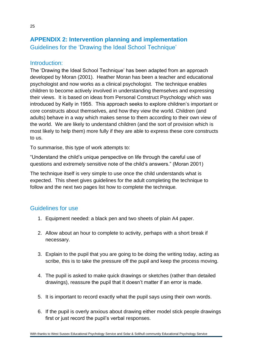# **APPENDIX 2: Intervention planning and implementation** Guidelines for the 'Drawing the Ideal School Technique'

## Introduction:

The 'Drawing the Ideal School Technique' has been adapted from an approach developed by Moran (2001). Heather Moran has been a teacher and educational psychologist and now works as a clinical psychologist. The technique enables children to become actively involved in understanding themselves and expressing their views. It is based on ideas from Personal Construct Psychology which was introduced by Kelly in 1955. This approach seeks to explore children's important or core constructs about themselves, and how they view the world. Children (and adults) behave in a way which makes sense to them according to their own view of the world. We are likely to understand children (and the sort of provision which is most likely to help them) more fully if they are able to express these core constructs to us.

To summarise, this type of work attempts to:

"Understand the child's unique perspective on life through the careful use of questions and extremely sensitive note of the child's answers." (Moran 2001)

The technique itself is very simple to use once the child understands what is expected. This sheet gives guidelines for the adult completing the technique to follow and the next two pages list how to complete the technique*.*

## Guidelines for use

- 1. Equipment needed: a black pen and two sheets of plain A4 paper.
- 2. Allow about an hour to complete to activity, perhaps with a short break if necessary.
- 3. Explain to the pupil that you are going to be doing the writing today, acting as scribe, this is to take the pressure off the pupil and keep the process moving.
- 4. The pupil is asked to make quick drawings or sketches (rather than detailed drawings), reassure the pupil that it doesn't matter if an error is made.
- 5. It is important to record exactly what the pupil says using their own words.
- 6. If the pupil is overly anxious about drawing either model stick people drawings first or just record the pupil's verbal responses.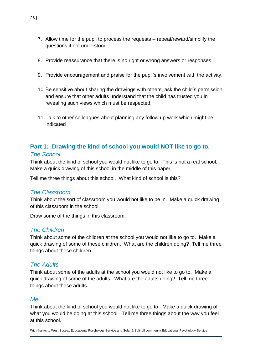- 7. Allow time for the pupil to process the requests repeat/reward/simplify the questions if not understood.
- 8. Provide reassurance that there is no right or wrong answers or responses.
- 9. Provide encouragement and praise for the pupil's involvement with the activity.
- 10.Be sensitive about sharing the drawings with others, ask the child's permission and ensure that other adults understand that the child has trusted you in revealing such views which must be respected.
- 11.Talk to other colleagues about planning any follow up work which might be indicated

## **Part 1: Drawing the kind of school you would NOT like to go to.** *The School*

Think about the kind of school you would not like to go to. This is not a real school. Make a quick drawing of this school in the middle of this paper.

Tell me three things about this school. What kind of school is this?

## *The Classroom*

Think about the sort of classroom you would not like to be in. Make a quick drawing of this classroom in the school.

Draw some of the things in this classroom.

#### *The Children*

Think about some of the children at the school you would not like to go to. Make a quick drawing of some of these children. What are the children doing? Tell me three things about these children.

## *The Adults*

Think about some of the adults at the school you would not like to go to. Make a quick drawing of some of the adults. What are the adults doing? Tell me three things about these adults.

#### *Me*

Think about the kind of school you would not like to go to. Make a quick drawing of what you would be doing at this school. Tell me three things about the way you feel at this school.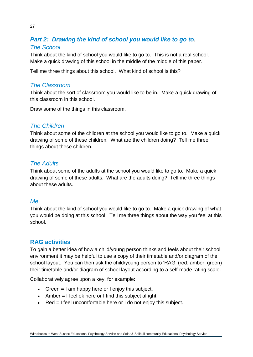# *Part 2: Drawing the kind of school you would like to go to. The School*

Think about the kind of school you would like to go to. This is not a real school. Make a quick drawing of this school in the middle of the middle of this paper.

Tell me three things about this school. What kind of school is this?

## *The Classroom*

Think about the sort of classroom you would like to be in. Make a quick drawing of this classroom in this school.

Draw some of the things in this classroom.

## *The Children*

Think about some of the children at the school you would like to go to. Make a quick drawing of some of these children. What are the children doing? Tell me three things about these children.

## *The Adults*

Think about some of the adults at the school you would like to go to. Make a quick drawing of some of these adults. What are the adults doing? Tell me three things about these adults.

## *Me*

Think about the kind of school you would like to go to. Make a quick drawing of what you would be doing at this school. Tell me three things about the way you feel at this school.

## **RAG activities**

To gain a better idea of how a child/young person thinks and feels about their school environment it may be helpful to use a copy of their timetable and/or diagram of the school layout. You can then ask the child/young person to 'RAG' (red, amber, green) their timetable and/or diagram of school layout according to a self-made rating scale.

Collaboratively agree upon a key, for example:

- Green  $=$  I am happy here or I enjoy this subject.
- Amber = I feel ok here or I find this subject alright.
- Red = I feel uncomfortable here or I do not enjoy this subject.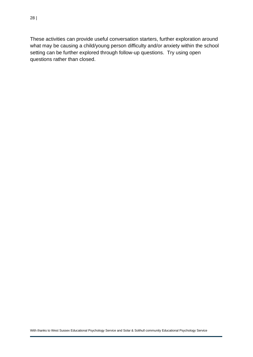These activities can provide useful conversation starters, further exploration around what may be causing a child/young person difficulty and/or anxiety within the school setting can be further explored through follow-up questions. Try using open questions rather than closed.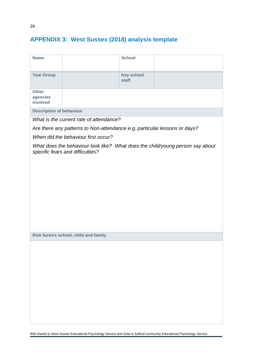# **APPENDIX 3: West Sussex (2018) analysis template**

| <b>Name</b>                          |                                                                           | <b>School</b>              |                                                                               |
|--------------------------------------|---------------------------------------------------------------------------|----------------------------|-------------------------------------------------------------------------------|
| <b>Year Group</b>                    |                                                                           | <b>Key school</b><br>staff |                                                                               |
| <b>Other</b><br>agencies<br>involved |                                                                           |                            |                                                                               |
| <b>Description of behaviour</b>      |                                                                           |                            |                                                                               |
|                                      | What is the current rate of attendance?                                   |                            |                                                                               |
|                                      | Are there any patterns to Non-attendance e.g. particular lessons or days? |                            |                                                                               |
|                                      | When did the behaviour first occur?                                       |                            |                                                                               |
|                                      | specific fears and difficulties?                                          |                            | What does the behaviour look like? What does the child/young person say about |
|                                      |                                                                           |                            |                                                                               |
|                                      |                                                                           |                            |                                                                               |
|                                      |                                                                           |                            |                                                                               |
|                                      |                                                                           |                            |                                                                               |
|                                      |                                                                           |                            |                                                                               |
|                                      |                                                                           |                            |                                                                               |
|                                      |                                                                           |                            |                                                                               |
|                                      |                                                                           |                            |                                                                               |
|                                      | Risk factors school, child and family                                     |                            |                                                                               |
|                                      |                                                                           |                            |                                                                               |
|                                      |                                                                           |                            |                                                                               |
|                                      |                                                                           |                            |                                                                               |
|                                      |                                                                           |                            |                                                                               |
|                                      |                                                                           |                            |                                                                               |
|                                      |                                                                           |                            |                                                                               |
|                                      |                                                                           |                            |                                                                               |
|                                      |                                                                           |                            |                                                                               |
|                                      |                                                                           |                            |                                                                               |
|                                      |                                                                           |                            |                                                                               |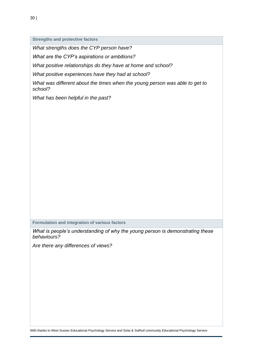**Strengths and protective factors**

*What strengths does the CYP person have?*

*What are the CYP's aspirations or ambitions?*

*What positive relationships do they have at home and school?*

*What positive experiences have they had at school?*

*What was different about the times when the young person was able to get to school?*

*What has been helpful in the past?*

**Formulation and integration of various factors**

*What is people's understanding of why the young person is demonstrating these behaviours?*

*Are there any differences of views?*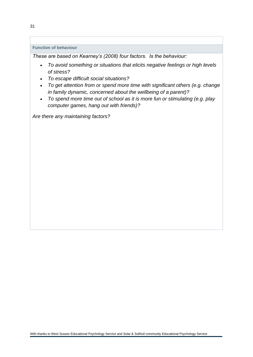#### **Function of behaviour**

*These are based on Kearney's (2008) four factors. Is the behaviour:*

- *To avoid something or situations that elicits negative feelings or high levels of stress?*
- *To escape difficult social situations?*
- *To get attention from or spend more time with significant others (e.g. change in family dynamic, concerned about the wellbeing of a parent)?*
- *To spend more time out of school as it is more fun or stimulating (e.g. play computer games, hang out with friends)?*

*Are there any maintaining factors?*